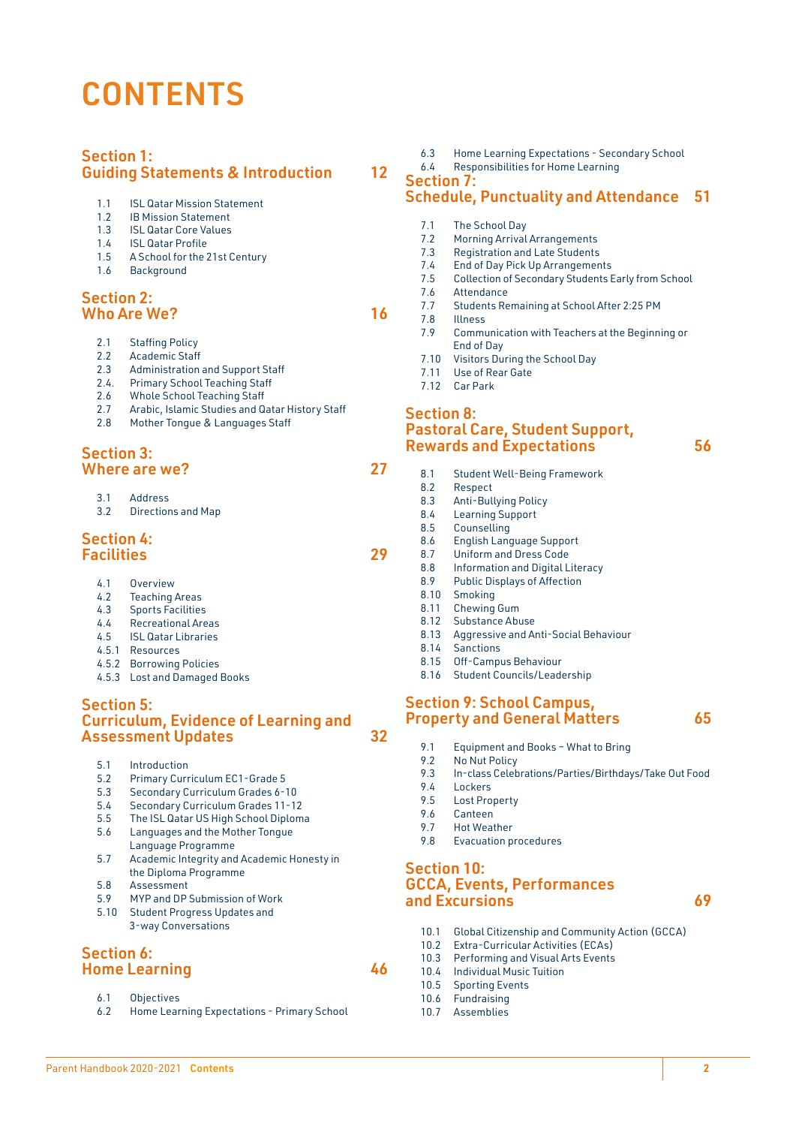# **CONTENTS**

## Section 1: Guiding Statements & Introduction 12

- 1.1 **ISL Qatar Mission Statement**
- 1.2 IB Mission Statement<br>1.3 ISL Qatar Core Values
- 1.3 ISL Qatar Core Values
- 1.4 ISL Qatar Profile<br>1.5 A School for the 2
- 1.5 A School for the 21st Century
- 1.6 Background

#### Section 2: Who Are We? 2012 16

- 2.1 Staffing Policy
- 2.2 Academic Staff<br>2.3 Administration
- Administration and Support Staff
- 2.4. Primary School Teaching Staff
- 2.6 Whole School Teaching Staff
- 2.7 Arabic, Islamic Studies and Qatar History Staff
- 2.8 Mother Tongue & Languages Staff

#### Section 3: Where are we? 27

- 3.1 Address
- 3.2 Directions and Map

#### Section 4: Facilities 29

- 4.1 Overview
- 4.2 Teaching Areas<br>4.3 Sports Facilities
- 4.3 Sports Facilities
- 4.4 Recreational Areas 4.5 ISL Qatar Libraries
- 4.5.1 Resources
- 
- 4.5.2 Borrowing Policies 4.5.3 Lost and Damaged Books
- Section 5: Curriculum, Evidence of Learning and

Assessment Updates 32

- 
- 5.1 Introduction<br>5.2 Primary Curr 5.2 Primary Curriculum EC1-Grade 5
- 5.3 Secondary Curriculum Grades 6-10
- 5.4 Secondary Curriculum Grades 11-12
- 5.5 The ISL Qatar US High School Diploma
- 5.6 Languages and the Mother Tongue Language Programme
- 5.7 Academic Integrity and Academic Honesty in the Diploma Programme
- 5.8 Assessment<br>5.9 MYP and DP
- MYP and DP Submission of Work
- 5.10 Student Progress Updates and 3-way Conversations

#### Section 6: Home Learning 46

- 6.1 Objectives
- 6.2 Home Learning Expectations Primary School
- 6.3 Home Learning Expectations Secondary School
- 6.4 Responsibilities for Home Learning

Section 7:

# Schedule, Punctuality and Attendance 51

- 7.1 The School Day
- 7.2 Morning Arrival Arrangements<br>7.3 Registration and Late Students
- Registration and Late Students
- 7.4 End of Day Pick Up Arrangements
- 7.5 Collection of Secondary Students Early from School
- 7.6 Attendance<br>7.7 Students Re
- Students Remaining at School After 2:25 PM
- 7.8 Illness
	- 7.9 Communication with Teachers at the Beginning or End of Day
	- 7.10 Visitors During the School Day
	- 7.11 Use of Rear Gate
	- 7.12 Car Park

#### Section 8: Pastoral Care, Student Support, Rewards and Expectations **1996** 56

- 8.1 Student Well-Being Framework
- 8.2 Respect<br>8.3 Anti-Bul
- Anti-Bullying Policy
- 8.4 Learning Support
- 8.5 Counselling
- 8.6 English Language Support 8.7 Uniform and Dress Code
- 8.8 Information and Digital Literacy
- 8.9 Public Displays of Affection
- 8.10 Smoking
- 8.11 Chewing Gum
- 8.12 Substance Abuse
- 8.13 Aggressive and Anti-Social Behaviour
- 8.14 Sanctions
- 8.15 Off-Campus Behaviour
- 8.16 Student Councils/Leadership

#### Section 9: School Campus, **Property and General Matters 65**

- 9.1 Equipment and Books What to Bring<br>9.2 No Nut Policy
- No Nut Policy
- 9.3 In-class Celebrations/Parties/Birthdays/Take Out Food
- 9.4 Lockers<br>9.5 Lost Pro
- 9.5 Lost Property
- 9.6 Canteen<br>9.7 Hot Wea
- 9.7 Hot Weather<br>9.8 Evacuation pro 9.8 Evacuation procedures
- Section 10:

# GCCA, Events, Performances and Excursions 69

- 10.1 Global Citizenship and Community Action (GCCA)<br>10.2 Extra-Curricular Activities (ECAs)
- Extra-Curricular Activities (ECAs)
- 10.3 Performing and Visual Arts Events
- 10.4 Individual Music Tuition<br>10.5 Sporting Events Sporting Events
- 10.6 Fundraising
- 10.7 Assemblies